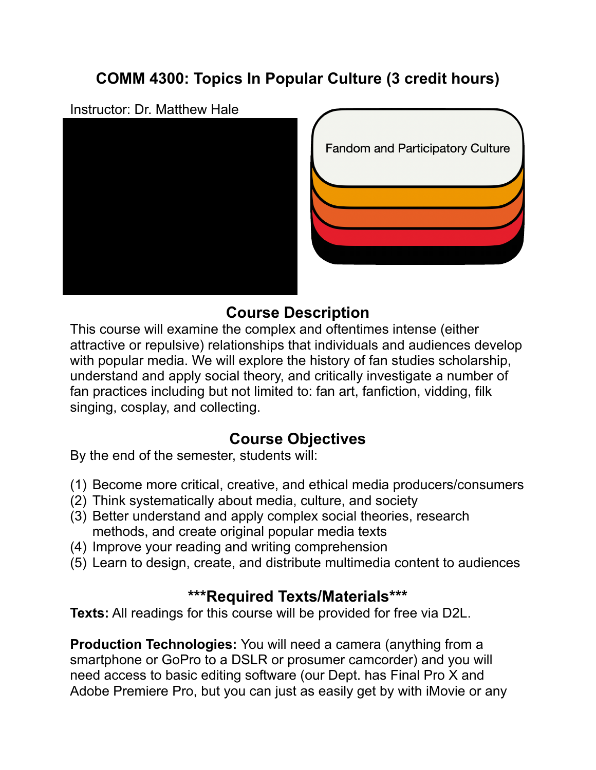# **COMM 4300: Topics In Popular Culture (3 credit hours)**

#### Instructor: Dr. Matthew Hale



**Fandom and Participatory Culture** 

# **Course Description**

This course will examine the complex and oftentimes intense (either attractive or repulsive) relationships that individuals and audiences develop with popular media. We will explore the history of fan studies scholarship, understand and apply social theory, and critically investigate a number of fan practices including but not limited to: fan art, fanfiction, vidding, filk singing, cosplay, and collecting.

# **Course Objectives**

By the end of the semester, students will:

- (1) Become more critical, creative, and ethical media producers/consumers
- (2) Think systematically about media, culture, and society
- (3) Better understand and apply complex social theories, research methods, and create original popular media texts
- (4) Improve your reading and writing comprehension
- (5) Learn to design, create, and distribute multimedia content to audiences

# **\*\*\*Required Texts/Materials\*\*\***

**Texts:** All readings for this course will be provided for free via D2L.

**Production Technologies:** You will need a camera (anything from a smartphone or GoPro to a DSLR or prosumer camcorder) and you will need access to basic editing software (our Dept. has Final Pro X and Adobe Premiere Pro, but you can just as easily get by with iMovie or any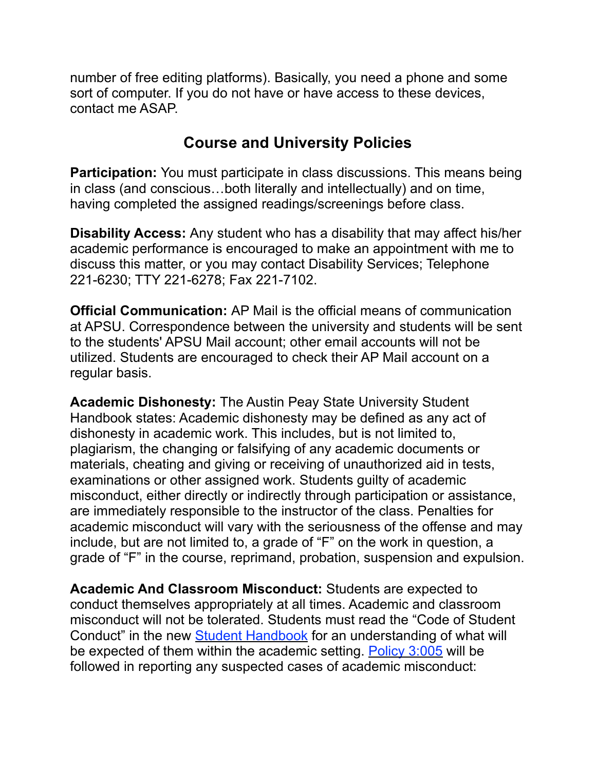number of free editing platforms). Basically, you need a phone and some sort of computer. If you do not have or have access to these devices, contact me ASAP.

# **Course and University Policies**

**Participation:** You must participate in class discussions. This means being in class (and conscious…both literally and intellectually) and on time, having completed the assigned readings/screenings before class.

**Disability Access:** Any student who has a disability that may affect his/her academic performance is encouraged to make an appointment with me to discuss this matter, or you may contact Disability Services; Telephone 221-6230; TTY 221-6278; Fax 221-7102.

**Official Communication:** AP Mail is the official means of communication at APSU. Correspondence between the university and students will be sent to the students' APSU Mail account; other email accounts will not be utilized. Students are encouraged to check their AP Mail account on a regular basis.

**Academic Dishonesty:** The Austin Peay State University Student Handbook states: Academic dishonesty may be defined as any act of dishonesty in academic work. This includes, but is not limited to, plagiarism, the changing or falsifying of any academic documents or materials, cheating and giving or receiving of unauthorized aid in tests, examinations or other assigned work. Students guilty of academic misconduct, either directly or indirectly through participation or assistance, are immediately responsible to the instructor of the class. Penalties for academic misconduct will vary with the seriousness of the offense and may include, but are not limited to, a grade of "F" on the work in question, a grade of "F" in the course, reprimand, probation, suspension and expulsion.

**Academic And Classroom Misconduct:** Students are expected to conduct themselves appropriately at all times. Academic and classroom misconduct will not be tolerated. Students must read the "Code of Student Conduct" in the new **Student Handbook** for an understanding of what will be expected of them within the academic setting. [Policy 3:005](https://www.apsu.edu/policy/3s_student_policies/3005-student-academic-misconduct.php) will be followed in reporting any suspected cases of academic misconduct: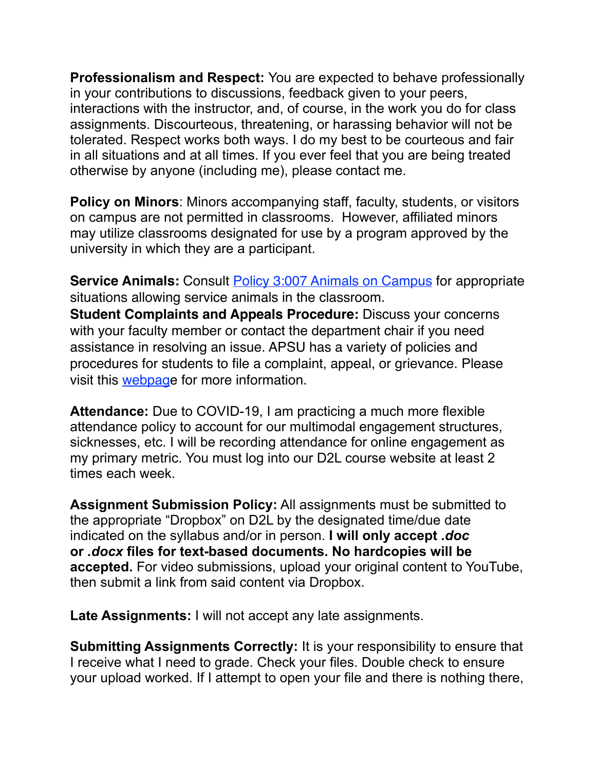**Professionalism and Respect:** You are expected to behave professionally in your contributions to discussions, feedback given to your peers, interactions with the instructor, and, of course, in the work you do for class assignments. Discourteous, threatening, or harassing behavior will not be tolerated. Respect works both ways. I do my best to be courteous and fair in all situations and at all times. If you ever feel that you are being treated otherwise by anyone (including me), please contact me.

**Policy on Minors**: Minors accompanying staff, faculty, students, or visitors on campus are not permitted in classrooms. However, affiliated minors may utilize classrooms designated for use by a program approved by the university in which they are a participant.

**Service Animals:** Consult **[Policy 3:007 Animals on Campus](https://www.apsu.edu/policy/3s_student_policies/3007-animals-on-campus.php)** for appropriate situations allowing service animals in the classroom. **Student Complaints and Appeals Procedure:** Discuss your concerns with your faculty member or contact the department chair if you need assistance in resolving an issue. APSU has a variety of policies and procedures for students to file a complaint, appeal, or grievance. Please visit this [webpage](https://www.apsu.edu/student-affairs/dean-of-students/student-appeals-and-complaint-procedures/) for more information.

**Attendance:** Due to COVID-19, I am practicing a much more flexible attendance policy to account for our multimodal engagement structures, sicknesses, etc. I will be recording attendance for online engagement as my primary metric. You must log into our D2L course website at least 2 times each week.

**Assignment Submission Policy:** All assignments must be submitted to the appropriate "Dropbox" on D2L by the designated time/due date indicated on the syllabus and/or in person. **I will only accept** *.doc* **or** *.docx* **files for text-based documents. No hardcopies will be accepted.** For video submissions, upload your original content to YouTube, then submit a link from said content via Dropbox.

**Late Assignments:** I will not accept any late assignments.

**Submitting Assignments Correctly:** It is your responsibility to ensure that I receive what I need to grade. Check your files. Double check to ensure your upload worked. If I attempt to open your file and there is nothing there,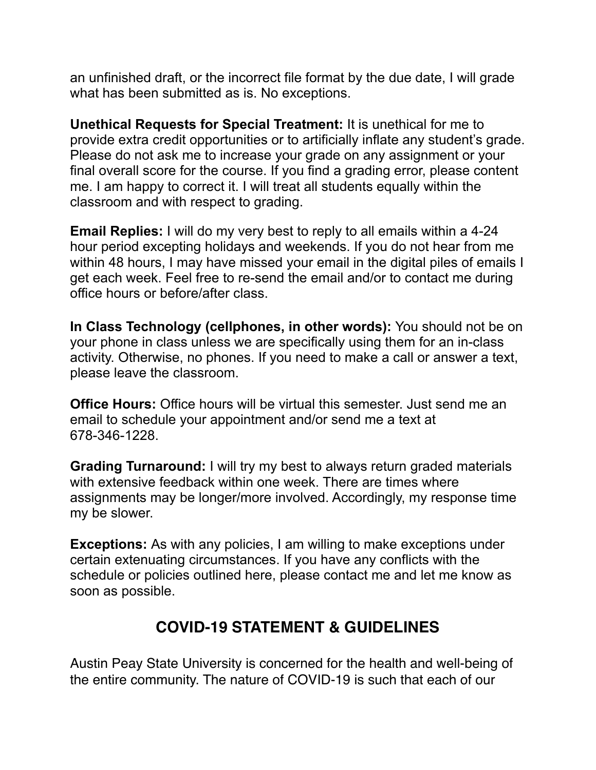an unfinished draft, or the incorrect file format by the due date, I will grade what has been submitted as is. No exceptions.

**Unethical Requests for Special Treatment:** It is unethical for me to provide extra credit opportunities or to artificially inflate any student's grade. Please do not ask me to increase your grade on any assignment or your final overall score for the course. If you find a grading error, please content me. I am happy to correct it. I will treat all students equally within the classroom and with respect to grading.

**Email Replies:** I will do my very best to reply to all emails within a 4-24 hour period excepting holidays and weekends. If you do not hear from me within 48 hours, I may have missed your email in the digital piles of emails I get each week. Feel free to re-send the email and/or to contact me during office hours or before/after class.

**In Class Technology (cellphones, in other words):** You should not be on your phone in class unless we are specifically using them for an in-class activity. Otherwise, no phones. If you need to make a call or answer a text, please leave the classroom.

**Office Hours:** Office hours will be virtual this semester. Just send me an email to schedule your appointment and/or send me a text at 678-346-1228.

**Grading Turnaround:** I will try my best to always return graded materials with extensive feedback within one week. There are times where assignments may be longer/more involved. Accordingly, my response time my be slower.

**Exceptions:** As with any policies, I am willing to make exceptions under certain extenuating circumstances. If you have any conflicts with the schedule or policies outlined here, please contact me and let me know as soon as possible.

# **COVID-19 STATEMENT & GUIDELINES**

Austin Peay State University is concerned for the health and well-being of the entire community. The nature of COVID-19 is such that each of our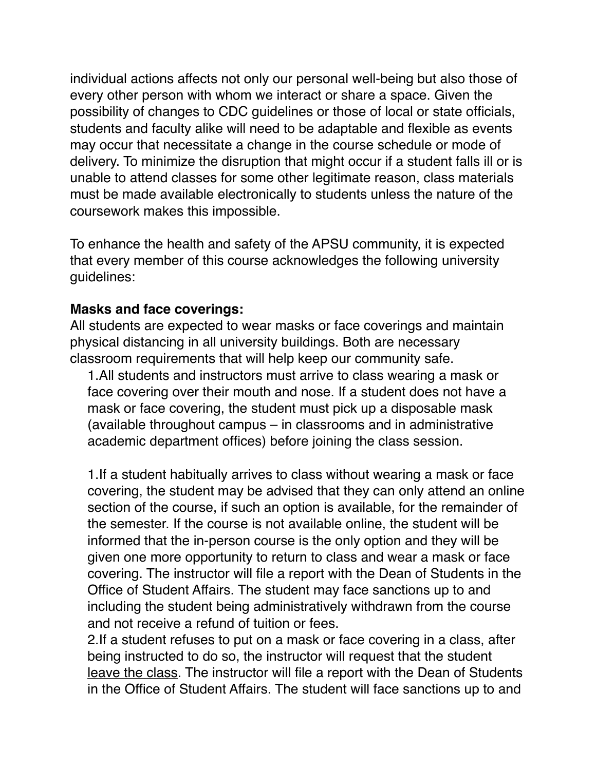individual actions affects not only our personal well-being but also those of every other person with whom we interact or share a space. Given the possibility of changes to CDC guidelines or those of local or state officials, students and faculty alike will need to be adaptable and flexible as events may occur that necessitate a change in the course schedule or mode of delivery. To minimize the disruption that might occur if a student falls ill or is unable to attend classes for some other legitimate reason, class materials must be made available electronically to students unless the nature of the coursework makes this impossible.

To enhance the health and safety of the APSU community, it is expected that every member of this course acknowledges the following university guidelines:

### **Masks and face coverings:**

All students are expected to wear masks or face coverings and maintain physical distancing in all university buildings. Both are necessary classroom requirements that will help keep our community safe.

1.All students and instructors must arrive to class wearing a mask or face covering over their mouth and nose. If a student does not have a mask or face covering, the student must pick up a disposable mask (available throughout campus – in classrooms and in administrative academic department offices) before joining the class session.

1.If a student habitually arrives to class without wearing a mask or face covering, the student may be advised that they can only attend an online section of the course, if such an option is available, for the remainder of the semester. If the course is not available online, the student will be informed that the in-person course is the only option and they will be given one more opportunity to return to class and wear a mask or face covering. The instructor will file a report with the Dean of Students in the Office of Student Affairs. The student may face sanctions up to and including the student being administratively withdrawn from the course and not receive a refund of tuition or fees.

2.If a student refuses to put on a mask or face covering in a class, after being instructed to do so, the instructor will request that the student leave the class. The instructor will file a report with the Dean of Students in the Office of Student Affairs. The student will face sanctions up to and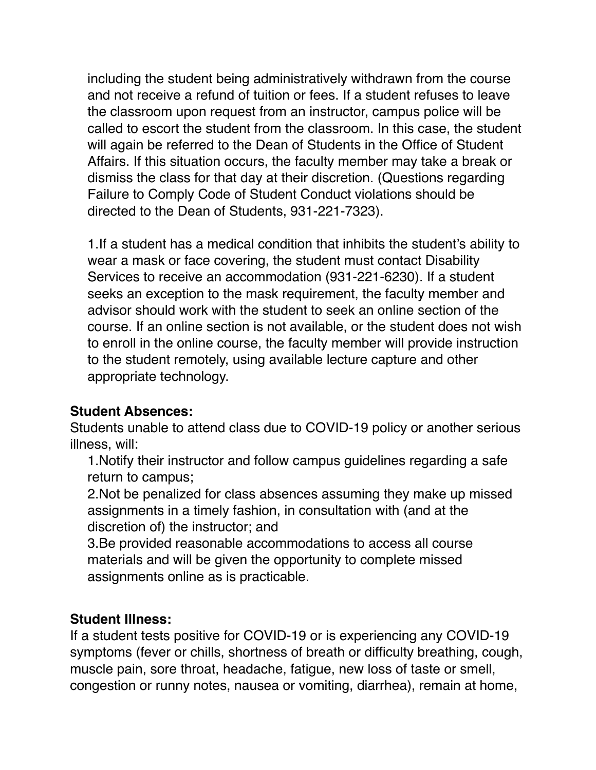including the student being administratively withdrawn from the course and not receive a refund of tuition or fees. If a student refuses to leave the classroom upon request from an instructor, campus police will be called to escort the student from the classroom. In this case, the student will again be referred to the Dean of Students in the Office of Student Affairs. If this situation occurs, the faculty member may take a break or dismiss the class for that day at their discretion. (Questions regarding Failure to Comply Code of Student Conduct violations should be directed to the Dean of Students, 931-221-7323).

1.If a student has a medical condition that inhibits the student's ability to wear a mask or face covering, the student must contact Disability Services to receive an accommodation (931-221-6230). If a student seeks an exception to the mask requirement, the faculty member and advisor should work with the student to seek an online section of the course. If an online section is not available, or the student does not wish to enroll in the online course, the faculty member will provide instruction to the student remotely, using available lecture capture and other appropriate technology.

## **Student Absences:**

Students unable to attend class due to COVID-19 policy or another serious illness, will:

1.Notify their instructor and follow campus guidelines regarding a safe return to campus;

2.Not be penalized for class absences assuming they make up missed assignments in a timely fashion, in consultation with (and at the discretion of) the instructor; and

3.Be provided reasonable accommodations to access all course materials and will be given the opportunity to complete missed assignments online as is practicable.

## **Student Illness:**

If a student tests positive for COVID-19 or is experiencing any COVID-19 symptoms (fever or chills, shortness of breath or difficulty breathing, cough, muscle pain, sore throat, headache, fatigue, new loss of taste or smell, congestion or runny notes, nausea or vomiting, diarrhea), remain at home,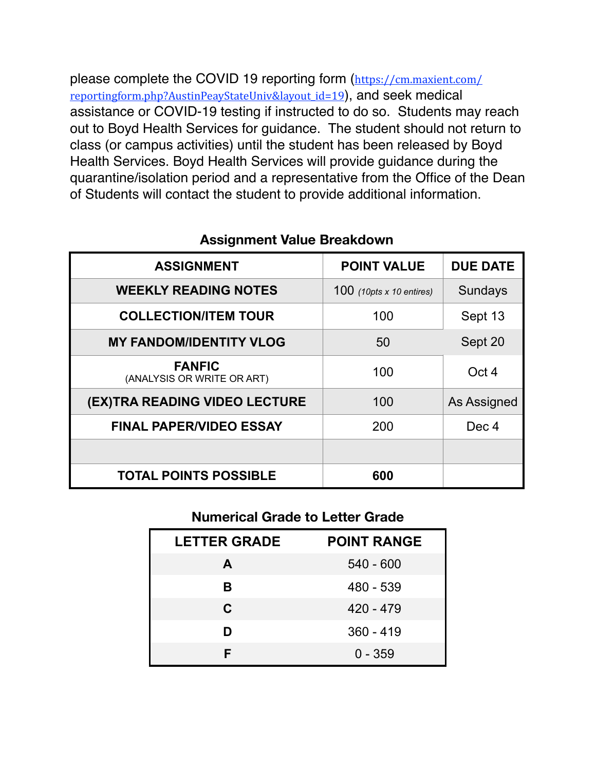please complete the COVID 19 reporting form ([https://cm.maxient.com/](https://cm.maxient.com/reportingform.php?AustinPeayStateUniv&layout_id=19) reportingform.php?AustinPeayStateUniv&layout id=19), and seek medical assistance or COVID-19 testing if instructed to do so. Students may reach out to Boyd Health Services for guidance. The student should not return to class (or campus activities) until the student has been released by Boyd Health Services. Boyd Health Services will provide guidance during the quarantine/isolation period and a representative from the Office of the Dean of Students will contact the student to provide additional information.

| <b>ASSIGNMENT</b>                           | <b>POINT VALUE</b>              | <b>DUE DATE</b>    |
|---------------------------------------------|---------------------------------|--------------------|
| <b>WEEKLY READING NOTES</b>                 | 100 $(10pts \times 10 entries)$ | <b>Sundays</b>     |
| <b>COLLECTION/ITEM TOUR</b>                 | 100                             | Sept 13            |
| <b>MY FANDOM/IDENTITY VLOG</b>              | 50                              | Sept 20            |
| <b>FANFIC</b><br>(ANALYSIS OR WRITE OR ART) | 100                             | Oct 4              |
| (EX)TRA READING VIDEO LECTURE               | 100                             | <b>As Assigned</b> |
| <b>FINAL PAPER/VIDEO ESSAY</b>              | 200                             | Dec 4              |
|                                             |                                 |                    |
| <b>TOTAL POINTS POSSIBLE</b>                | 600                             |                    |

## **Assignment Value Breakdown**

### **Numerical Grade to Letter Grade**

| <b>LETTER GRADE</b> | <b>POINT RANGE</b> |
|---------------------|--------------------|
| A                   | $540 - 600$        |
| R.                  | 480 - 539          |
| $\mathbf{C}$        | $420 - 479$        |
| D                   | $360 - 419$        |
|                     | $0 - 359$          |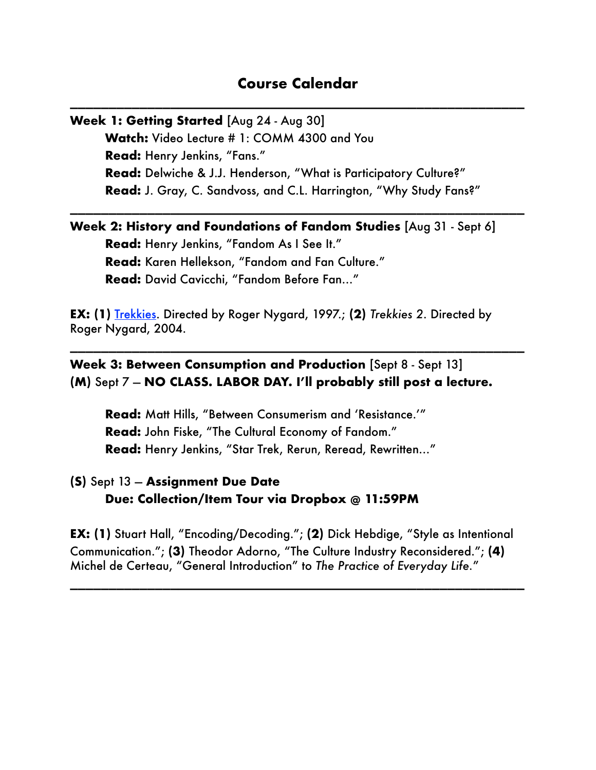### **Course Calendar**

\_\_\_\_\_\_\_\_\_\_\_\_\_\_\_\_\_\_\_\_\_\_\_\_\_\_\_\_\_\_\_\_\_\_\_\_\_\_\_\_\_\_\_\_\_\_\_\_\_\_\_\_\_\_\_\_\_\_\_

\_\_\_\_\_\_\_\_\_\_\_\_\_\_\_\_\_\_\_\_\_\_\_\_\_\_\_\_\_\_\_\_\_\_\_\_\_\_\_\_\_\_\_\_\_\_\_\_\_\_\_\_\_\_\_\_\_\_\_

**Week 1: Getting Started** [Aug 24 - Aug 30] **Watch:** Video Lecture # 1: COMM 4300 and You **Read:** Henry Jenkins, "Fans." **Read:** Delwiche & J.J. Henderson, "What is Participatory Culture?" **Read:** J. Gray, C. Sandvoss, and C.L. Harrington, "Why Study Fans?"

**Week 2: History and Foundations of Fandom Studies** [Aug 31 - Sept 6] **Read:** Henry Jenkins, "Fandom As I See It." **Read:** Karen Hellekson, "Fandom and Fan Culture." **Read:** David Cavicchi, "Fandom Before Fan…"

**EX: (1)** [Trekkies.](https://www.dailymotion.com/video/xmah25) Directed by Roger Nygard, 1997.; **(2)** *Trekkies 2*. Directed by Roger Nygard, 2004.

\_\_\_\_\_\_\_\_\_\_\_\_\_\_\_\_\_\_\_\_\_\_\_\_\_\_\_\_\_\_\_\_\_\_\_\_\_\_\_\_\_\_\_\_\_\_\_\_\_\_\_\_\_\_\_\_\_\_\_

**Week 3: Between Consumption and Production** [Sept 8 - Sept 13] **(M)** Sept 7 — **NO CLASS. LABOR DAY. I'll probably still post a lecture.** 

**Read:** Matt Hills, "Between Consumerism and 'Resistance.'" **Read:** John Fiske, "The Cultural Economy of Fandom." **Read:** Henry Jenkins, "Star Trek, Rerun, Reread, Rewritten…"

**(S)** Sept 13 — **Assignment Due Date Due: Collection/Item Tour via Dropbox @ 11:59PM** 

**EX: (1)** Stuart Hall, "Encoding/Decoding."; **(2)** Dick Hebdige, "Style as Intentional Communication."; **(3)** Theodor Adorno, "The Culture Industry Reconsidered."; **(4)**  Michel de Certeau, "General Introduction" to *The Practice of Everyday Life.*"

\_\_\_\_\_\_\_\_\_\_\_\_\_\_\_\_\_\_\_\_\_\_\_\_\_\_\_\_\_\_\_\_\_\_\_\_\_\_\_\_\_\_\_\_\_\_\_\_\_\_\_\_\_\_\_\_\_\_\_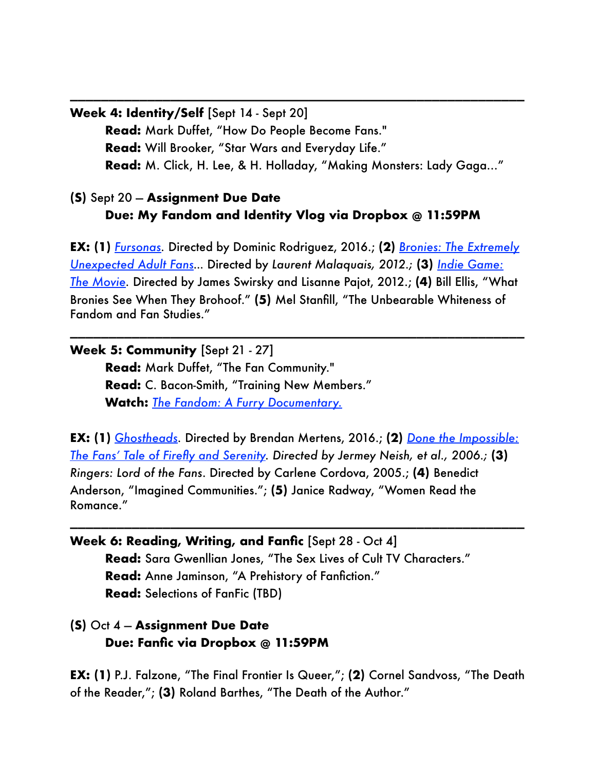```
Week 4: Identity/Self [Sept 14 - Sept 20]
```
**Read:** Mark Duffet, "How Do People Become Fans." **Read:** Will Brooker, "Star Wars and Everyday Life." **Read:** M. Click, H. Lee, & H. Holladay, "Making Monsters: Lady Gaga…"

\_\_\_\_\_\_\_\_\_\_\_\_\_\_\_\_\_\_\_\_\_\_\_\_\_\_\_\_\_\_\_\_\_\_\_\_\_\_\_\_\_\_\_\_\_\_\_\_\_\_\_\_\_\_\_\_\_\_\_

## **(S)** Sept 20 — **Assignment Due Date Due: My Fandom and Identity Vlog via Dropbox @ 11:59PM**

**EX: (1)** *[Fursonas.](https://www.amazon.com/Fursonas-Boomer-Dog/dp/B01FJ2VZYI)* Directed by Dominic Rodriguez, 2016.; **(2)** *[Bronies: The Extremely](https://www.dailymotion.com/video/x25jza5)  [Unexpected Adult Fans](https://www.dailymotion.com/video/x25jza5)…* Directed by *Laurent Malaquais, 2012.;* **(3)** *[Indie Game:](https://www.amazon.com/Indie-Game-Movie-Edmund-McMillian/dp/B07DWHXGML)  [The Movie](https://www.amazon.com/Indie-Game-Movie-Edmund-McMillian/dp/B07DWHXGML).* Directed by James Swirsky and Lisanne Pajot, 2012.; **(4)** Bill Ellis, "What Bronies See When They Brohoof." **(5)** Mel Stanfill, "The Unbearable Whiteness of Fandom and Fan Studies."

\_\_\_\_\_\_\_\_\_\_\_\_\_\_\_\_\_\_\_\_\_\_\_\_\_\_\_\_\_\_\_\_\_\_\_\_\_\_\_\_\_\_\_\_\_\_\_\_\_\_\_\_\_\_\_\_\_\_\_

**Week 5: Community** [Sept 21 - 27] **Read:** Mark Duffet, "The Fan Community." **Read:** C. Bacon-Smith, "Training New Members." **Watch:** *[The Fandom: A Furry Documentary.](https://youtu.be/iv0QaTW3kEY)*

**EX: (1)** *[Ghostheads.](https://www.amazon.com/Ghostheads-Dan-Aykroyd/dp/B01LYD65GC)* Directed by Brendan Mertens, 2016.; **(2)** *[Done the Impossible:](https://www.dailymotion.com/video/x86mcq)  [The Fans' Tale of Firefly and Serenity.](https://www.dailymotion.com/video/x86mcq) Directed by Jermey Neish, et al., 2006.;* **(3)**  *Ringers: Lord of the Fans*. Directed by Carlene Cordova, 2005.; **(4)** Benedict Anderson, "Imagined Communities."; **(5)** Janice Radway, "Women Read the Romance."

\_\_\_\_\_\_\_\_\_\_\_\_\_\_\_\_\_\_\_\_\_\_\_\_\_\_\_\_\_\_\_\_\_\_\_\_\_\_\_\_\_\_\_\_\_\_\_\_\_\_\_\_\_\_\_\_\_\_\_

**Week 6: Reading, Writing, and Fanfic** [Sept 28 - Oct 4] **Read:** Sara Gwenllian Jones, "The Sex Lives of Cult TV Characters." **Read:** Anne Jaminson, "A Prehistory of Fanfiction." **Read:** Selections of FanFic (TBD)

## **(S)** Oct 4 — **Assignment Due Date Due: Fanfic via Dropbox @ 11:59PM**

**EX: (1)** P.J. Falzone, "The Final Frontier Is Queer,"; **(2)** Cornel Sandvoss, "The Death of the Reader,"; **(3)** Roland Barthes, "The Death of the Author."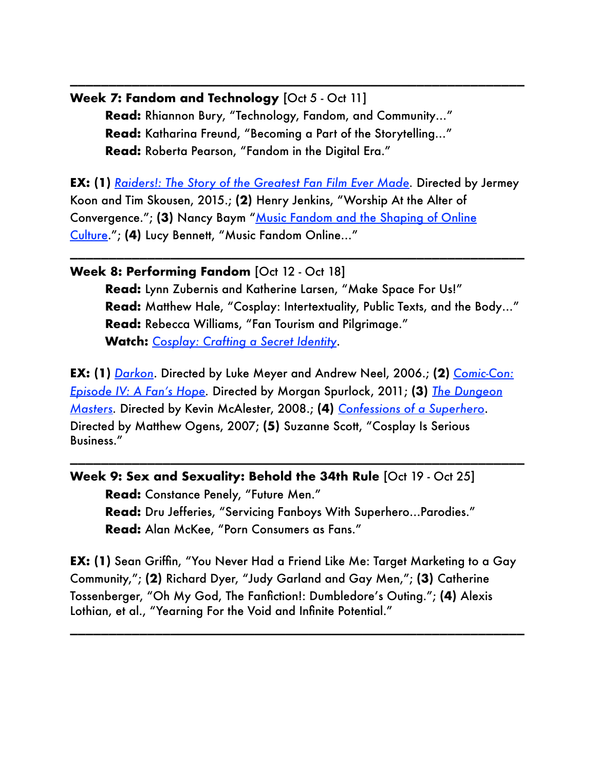**Week 7: Fandom and Technology** [Oct 5 - Oct 11] **Read:** Rhiannon Bury, "Technology, Fandom, and Community…" **Read:** Katharina Freund, "Becoming a Part of the Storytelling…" **Read:** Roberta Pearson, "Fandom in the Digital Era."

**EX: (1)** *[Raiders!: The Story of the Greatest Fan Film Ever Made.](https://www.netflix.com/title/80045805)* Directed by Jermey Koon and Tim Skousen, 2015.; **(2)** Henry Jenkins, "Worship At the Alter of Convergence."; (3) Nancy Baym "Music Fandom and the Shaping of Online [Culture.](https://cmsw.mit.edu/podcast-nancy-baym-music-fandom-and-the-shaping-of-online-culture/)"; **(4)** Lucy Bennett, "Music Fandom Online…"

\_\_\_\_\_\_\_\_\_\_\_\_\_\_\_\_\_\_\_\_\_\_\_\_\_\_\_\_\_\_\_\_\_\_\_\_\_\_\_\_\_\_\_\_\_\_\_\_\_\_\_\_\_\_\_\_\_\_\_

\_\_\_\_\_\_\_\_\_\_\_\_\_\_\_\_\_\_\_\_\_\_\_\_\_\_\_\_\_\_\_\_\_\_\_\_\_\_\_\_\_\_\_\_\_\_\_\_\_\_\_\_\_\_\_\_\_\_\_

#### **Week 8: Performing Fandom** [Oct 12 - Oct 18]

**Read:** Lynn Zubernis and Katherine Larsen, "Make Space For Us!" **Read:** Matthew Hale, "Cosplay: Intertextuality, Public Texts, and the Body…" **Read:** Rebecca Williams, "Fan Tourism and Pilgrimage." **Watch:** *[Cosplay: Crafting a Secret Identity](http://www.apple.com)*.

**EX: (1)** *[Darkon](https://www.youtube.com/watch?v=Piy2QCsdUWk)*. Directed by Luke Meyer and Andrew Neel, 2006.; **(2)** *[Comic-Con:](https://www.amazon.com/Comic-Episode-IV-Fans-Hope/dp/B007RV69D2)  [Episode IV: A Fan's Hope](https://www.amazon.com/Comic-Episode-IV-Fans-Hope/dp/B007RV69D2).* Directed by Morgan Spurlock, 2011; **(3)** *[The Dungeon](https://www.amazon.com/Dungeon-Masters-Elizabeth-Reesman/dp/B07KBCL42L)  [Masters.](https://www.amazon.com/Dungeon-Masters-Elizabeth-Reesman/dp/B07KBCL42L)* Directed by Kevin McAlester, 2008.; **(4)** *[Confessions of a Superhero](https://youtu.be/-MozXv2XN8w)*. Directed by Matthew Ogens, 2007; **(5)** Suzanne Scott, "Cosplay Is Serious Business."

\_\_\_\_\_\_\_\_\_\_\_\_\_\_\_\_\_\_\_\_\_\_\_\_\_\_\_\_\_\_\_\_\_\_\_\_\_\_\_\_\_\_\_\_\_\_\_\_\_\_\_\_\_\_\_\_\_\_\_

### **Week 9: Sex and Sexuality: Behold the 34th Rule** [Oct 19 - Oct 25]

**Read:** Constance Penely, "Future Men." **Read:** Dru Jefferies, "Servicing Fanboys With Superhero…Parodies." **Read:** Alan McKee, "Porn Consumers as Fans."

**EX: (1)** Sean Griffin, "You Never Had a Friend Like Me: Target Marketing to a Gay Community,"; **(2)** Richard Dyer, "Judy Garland and Gay Men,"; **(3)** Catherine Tossenberger, "Oh My God, The Fanfiction!: Dumbledore's Outing."; **(4)** Alexis Lothian, et al., "Yearning For the Void and Infinite Potential."

\_\_\_\_\_\_\_\_\_\_\_\_\_\_\_\_\_\_\_\_\_\_\_\_\_\_\_\_\_\_\_\_\_\_\_\_\_\_\_\_\_\_\_\_\_\_\_\_\_\_\_\_\_\_\_\_\_\_\_